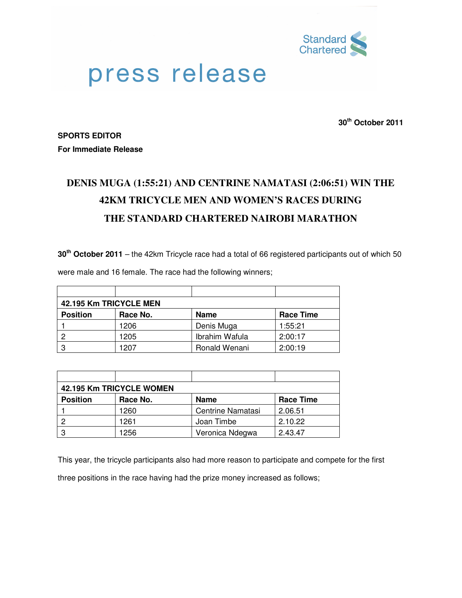

## press release

**30th October 2011**

**SPORTS EDITOR For Immediate Release** 

## **DENIS MUGA (1:55:21) AND CENTRINE NAMATASI (2:06:51) WIN THE 42KM TRICYCLE MEN AND WOMEN'S RACES DURING THE STANDARD CHARTERED NAIROBI MARATHON**

**30th October 2011** – the 42km Tricycle race had a total of 66 registered participants out of which 50

| 42.195 Km TRICYCLE MEN |          |                |                  |  |  |
|------------------------|----------|----------------|------------------|--|--|
| <b>Position</b>        | Race No. | <b>Name</b>    | <b>Race Time</b> |  |  |
|                        | 1206     | Denis Muga     | 1:55:21          |  |  |
| 2                      | 1205     | Ibrahim Wafula | 2:00:17          |  |  |
| 3                      | 1207     | Ronald Wenani  | 2:00:19          |  |  |

were male and 16 female. The race had the following winners;

| 42.195 Km TRICYCLE WOMEN |          |                          |                  |  |  |
|--------------------------|----------|--------------------------|------------------|--|--|
| <b>Position</b>          | Race No. | <b>Name</b>              | <b>Race Time</b> |  |  |
|                          | 1260     | <b>Centrine Namatasi</b> | 2.06.51          |  |  |
|                          | 1261     | Joan Timbe               | 2.10.22          |  |  |
| 0                        | 1256     | Veronica Ndegwa          | 2.43.47          |  |  |

This year, the tricycle participants also had more reason to participate and compete for the first three positions in the race having had the prize money increased as follows;